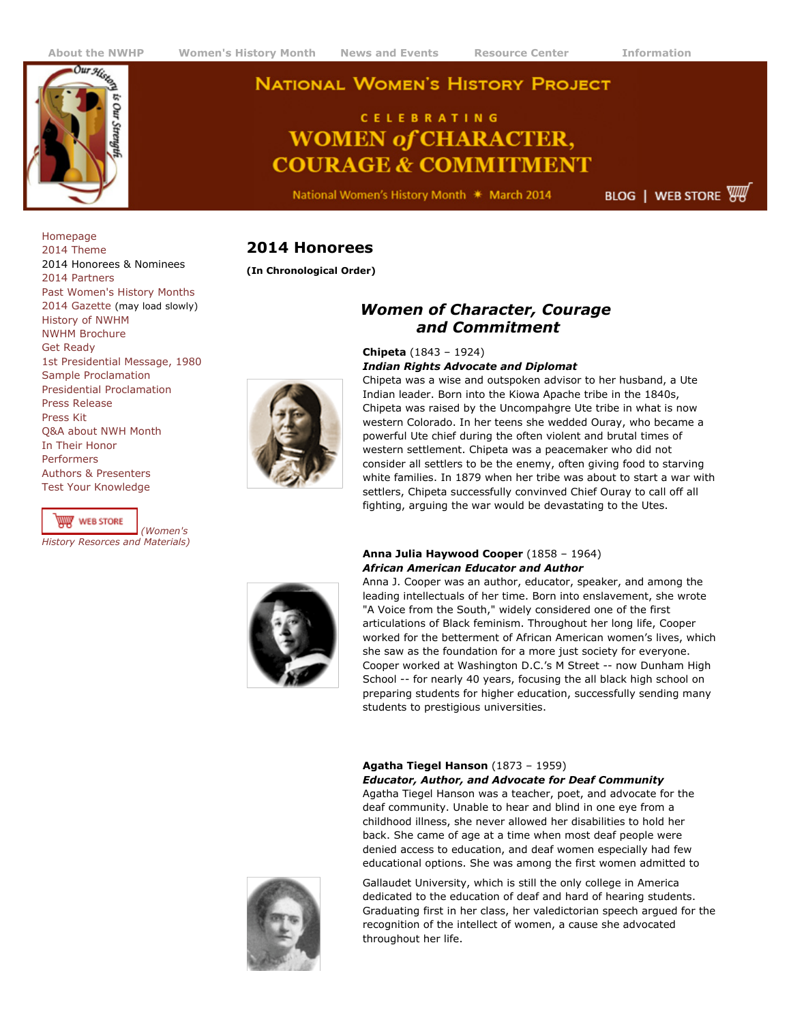

# **[About the NWHP](http://www.nwhp.org/aboutnwhp/index.php) [Women's History Month](http://www.nwhp.org/whm/index.php) News and Events [Resource Center](http://www.nwhp.org/resourcecenter/index.php) [Information](http://www.nwhp.org/information/faq.php)**<br> **A Our year NATIONAL WOMEN'S HISTORY PROJECT**

# **CELEBRATING WOMEN of CHARACTER, COURAGE & COMMITMENT**

National Women's History Month \* March 2014

**BLOG** | WEB STORE

[Homepage](http://www.nwhp.org/) [2014 Theme](http://www.nwhp.org/whm/index.php) 2014 Honorees & Nominees [2014 Partners](http://www.nwhp.org/whm/partners.php) [Past Women's History Months](http://www.nwhp.org/whm/former.php) [2014 Gazette \(](http://www.nwhp.org/whm/2014nwhp_gazette.pdf)may load slowly) [History of NWHM](http://www.nwhp.org/whm/history.php) [NWHM Brochure](http://nwhp.org/whm/brochure.php) [Get Ready](http://www.nwhp.org/whm/ready_for_nwhm.php) [1st Presidential Message, 1980](http://www.nwhp.org/whm/1980.php) [Sample Proclamation](http://www.nwhp.org/whm/proclamation.php) [Presidential Proclamation](http://www.nwhp.org/whm/presidential.php) [Press Release](http://www.nwhp.org/whm/pressrelease.php) [Press Kit](http://www.nwhp.org/whm/presskit.php) [Q&A about NWH Month](http://www.nwhp.org/whm/10questions.php) [In Their Honor](http://www.nwhp.org/whm/inhername.php) [Performers](http://www.nwhp.org/whm/performers.php) [Authors & Presenters](http://www.nwhp.org/whm/authorspresenters.php) [Test Your Knowledge](http://www.nwhp.org/whm/test.php)

*[History Resorces and Materials\)](http://store.nexternal.com/nwhp/storefront.aspx)*

W WEB STORE

*(Women's*

# **2014 Honorees**

**(In Chronological Order)**

## *Women of Character, Courage and Commitment*

#### **Chipeta** (1843 – 1924) *Indian Rights Advocate and Diplomat*

Chipeta was a wise and outspoken advisor to her husband, a Ute Indian leader. Born into the Kiowa Apache tribe in the 1840s, Chipeta was raised by the Uncompahgre Ute tribe in what is now western Colorado. In her teens she wedded Ouray, who became a powerful Ute chief during the often violent and brutal times of western settlement. Chipeta was a peacemaker who did not consider all settlers to be the enemy, often giving food to starving white families. In 1879 when her tribe was about to start a war with settlers, Chipeta successfully convinved Chief Ouray to call off all fighting, arguing the war would be devastating to the Utes.



#### **Anna Julia Haywood Cooper** (1858 – 1964) *African American Educator and Author*

Anna J. Cooper was an author, educator, speaker, and among the leading intellectuals of her time. Born into enslavement, she wrote "A Voice from the South," widely considered one of the first articulations of Black feminism. Throughout her long life, Cooper worked for the betterment of African American women's lives, which she saw as the foundation for a more just society for everyone. Cooper worked at Washington D.C.'s M Street -- now Dunham High School -- for nearly 40 years, focusing the all black high school on preparing students for higher education, successfully sending many students to prestigious universities.

## **Agatha Tiegel Hanson** (1873 – 1959)

*Educator, Author, and Advocate for Deaf Community* Agatha Tiegel Hanson was a teacher, poet, and advocate for the deaf community. Unable to hear and blind in one eye from a childhood illness, she never allowed her disabilities to hold her back. She came of age at a time when most deaf people were denied access to education, and deaf women especially had few educational options. She was among the first women admitted to

Gallaudet University, which is still the only college in America dedicated to the education of deaf and hard of hearing students. Graduating first in her class, her valedictorian speech argued for the recognition of the intellect of women, a cause she advocated throughout her life.



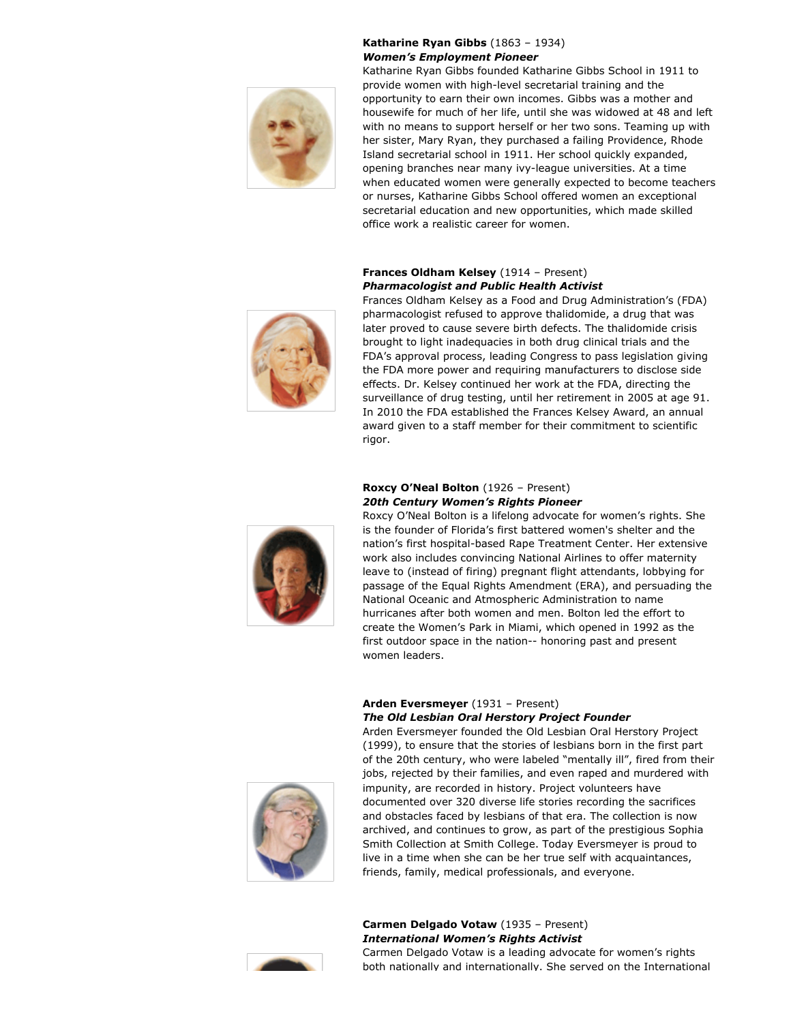

## **Katharine Ryan Gibbs** (1863 – 1934) *Women's Employment Pioneer*

Katharine Ryan Gibbs founded Katharine Gibbs School in 1911 to provide women with high-level secretarial training and the opportunity to earn their own incomes. Gibbs was a mother and housewife for much of her life, until she was widowed at 48 and left with no means to support herself or her two sons. Teaming up with her sister, Mary Ryan, they purchased a failing Providence, Rhode Island secretarial school in 1911. Her school quickly expanded, opening branches near many ivy-league universities. At a time when educated women were generally expected to become teachers or nurses, Katharine Gibbs School offered women an exceptional secretarial education and new opportunities, which made skilled office work a realistic career for women.

## **Frances Oldham Kelsey** (1914 – Present) *Pharmacologist and Public Health Activist*

Frances Oldham Kelsey as a Food and Drug Administration's (FDA) pharmacologist refused to approve thalidomide, a drug that was later proved to cause severe birth defects. The thalidomide crisis brought to light inadequacies in both drug clinical trials and the FDA's approval process, leading Congress to pass legislation giving the FDA more power and requiring manufacturers to disclose side effects. Dr. Kelsey continued her work at the FDA, directing the surveillance of drug testing, until her retirement in 2005 at age 91. In 2010 the FDA established the Frances Kelsey Award, an annual award given to a staff member for their commitment to scientific rigor.



## **Roxcy O'Neal Bolton** (1926 – Present) *20th Century Women's Rights Pioneer*

Roxcy O'Neal Bolton is a lifelong advocate for women's rights. She is the founder of Florida's first battered women's shelter and the nation's first hospital-based Rape Treatment Center. Her extensive work also includes convincing National Airlines to offer maternity leave to (instead of firing) pregnant flight attendants, lobbying for passage of the Equal Rights Amendment (ERA), and persuading the National Oceanic and Atmospheric Administration to name hurricanes after both women and men. Bolton led the effort to create the Women's Park in Miami, which opened in 1992 as the first outdoor space in the nation-- honoring past and present women leaders.

## **Arden Eversmeyer** (1931 – Present) *The Old Lesbian Oral Herstory Project Founder*

Arden Eversmeyer founded the Old Lesbian Oral Herstory Project (1999), to ensure that the stories of lesbians born in the first part of the 20th century, who were labeled "mentally ill", fired from their jobs, rejected by their families, and even raped and murdered with impunity, are recorded in history. Project volunteers have documented over 320 diverse life stories recording the sacrifices and obstacles faced by lesbians of that era. The collection is now archived, and continues to grow, as part of the prestigious Sophia Smith Collection at Smith College. Today Eversmeyer is proud to live in a time when she can be her true self with acquaintances, friends, family, medical professionals, and everyone.



## **Carmen Delgado Votaw** (1935 – Present) *International Women's Rights Activist*



Carmen Delgado Votaw is a leading advocate for women's rights both nationally and internationally. She served on the International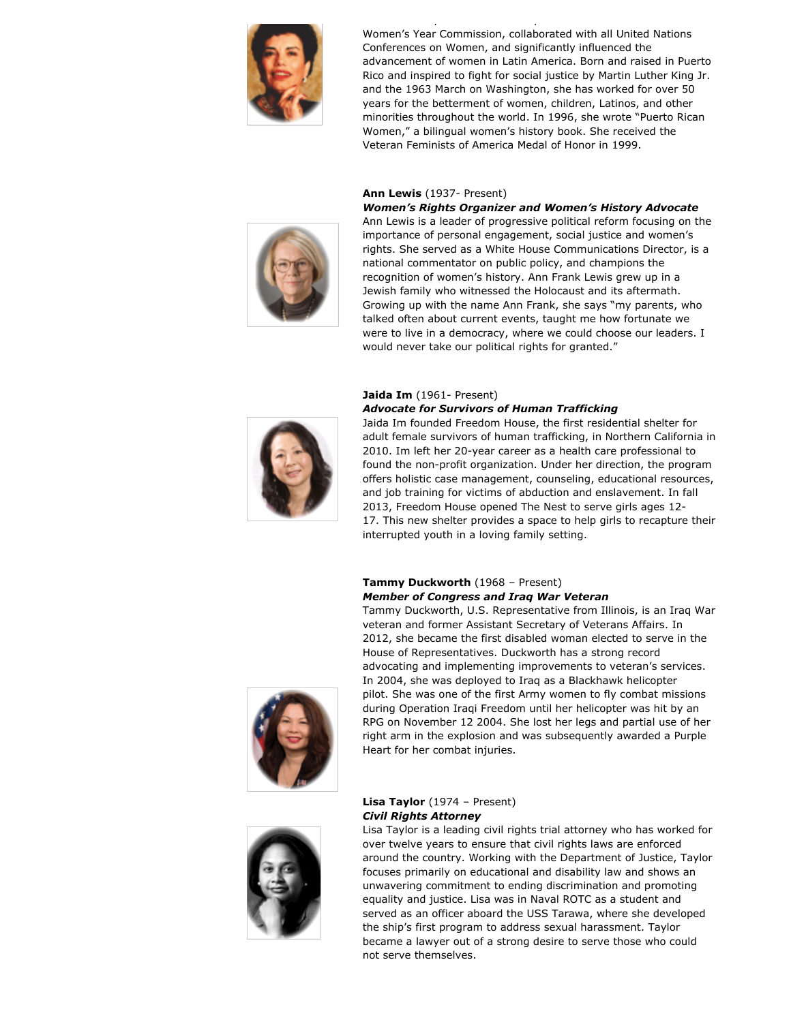

Women's Year Commission, collaborated with all United Nations Conferences on Women, and significantly influenced the advancement of women in Latin America. Born and raised in Puerto Rico and inspired to fight for social justice by Martin Luther King Jr. and the 1963 March on Washington, she has worked for over 50 years for the betterment of women, children, Latinos, and other minorities throughout the world. In 1996, she wrote "Puerto Rican Women," a bilingual women's history book. She received the Veteran Feminists of America Medal of Honor in 1999.

both nationally and internationally. She served on the International

#### **Ann Lewis** (1937- Present)

#### *Women's Rights Organizer and Women's History Advocate*



Ann Lewis is a leader of progressive political reform focusing on the importance of personal engagement, social justice and women's rights. She served as a White House Communications Director, is a national commentator on public policy, and champions the recognition of women's history. Ann Frank Lewis grew up in a Jewish family who witnessed the Holocaust and its aftermath. Growing up with the name Ann Frank, she says "my parents, who talked often about current events, taught me how fortunate we were to live in a democracy, where we could choose our leaders. I would never take our political rights for granted."

## **Jaida Im** (1961- Present)

#### *Advocate for Survivors of Human Trafficking*



Jaida Im founded Freedom House, the first residential shelter for adult female survivors of human trafficking, in Northern California in 2010. Im left her 20-year career as a health care professional to found the non-profit organization. Under her direction, the program offers holistic case management, counseling, educational resources, and job training for victims of abduction and enslavement. In fall 2013, Freedom House opened The Nest to serve girls ages 12- 17. This new shelter provides a space to help girls to recapture their interrupted youth in a loving family setting.

#### **Tammy Duckworth** (1968 – Present) *Member of Congress and Iraq War Veteran*

Tammy Duckworth, U.S. Representative from Illinois, is an Iraq War veteran and former Assistant Secretary of Veterans Affairs. In 2012, she became the first disabled woman elected to serve in the House of Representatives. Duckworth has a strong record advocating and implementing improvements to veteran's services. In 2004, she was deployed to Iraq as a Blackhawk helicopter pilot. She was one of the first Army women to fly combat missions during Operation Iraqi Freedom until her helicopter was hit by an RPG on November 12 2004. She lost her legs and partial use of her right arm in the explosion and was subsequently awarded a Purple Heart for her combat injuries.





#### **Lisa Taylor** (1974 – Present) *Civil Rights Attorney*

Lisa Taylor is a leading civil rights trial attorney who has worked for over twelve years to ensure that civil rights laws are enforced around the country. Working with the Department of Justice, Taylor focuses primarily on educational and disability law and shows an unwavering commitment to ending discrimination and promoting equality and justice. Lisa was in Naval ROTC as a student and served as an officer aboard the USS Tarawa, where she developed the ship's first program to address sexual harassment. Taylor became a lawyer out of a strong desire to serve those who could not serve themselves.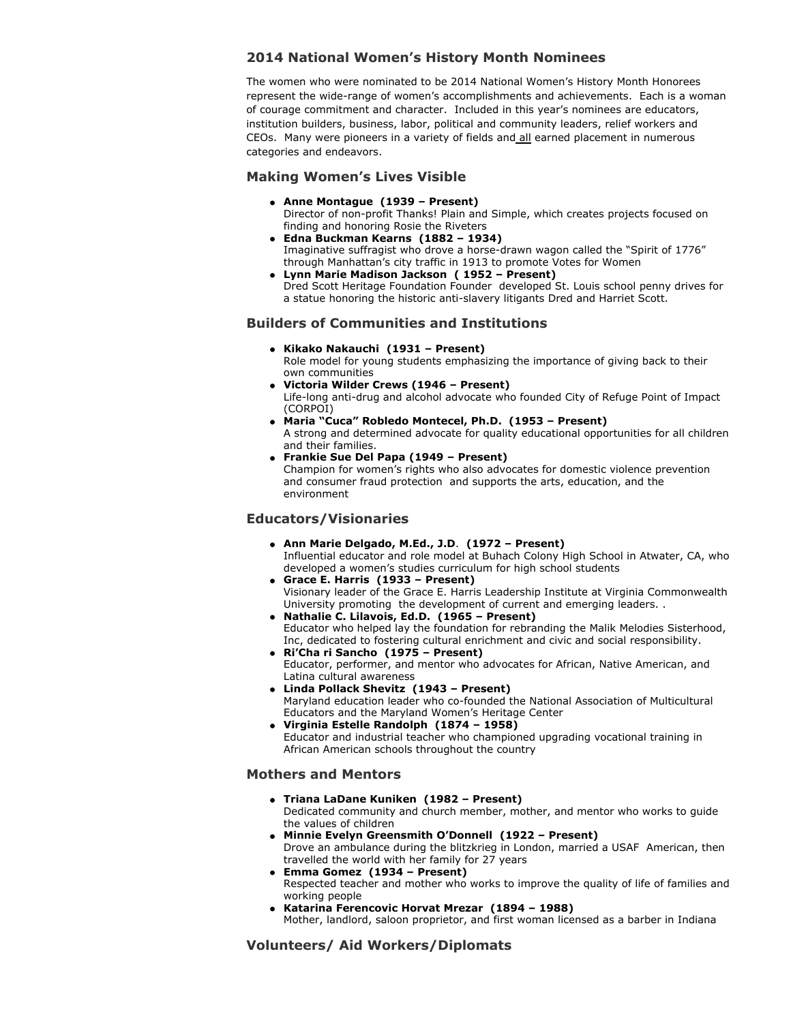## **2014 National Women's History Month Nominees**

The women who were nominated to be 2014 National Women's History Month Honorees represent the wide-range of women's accomplishments and achievements. Each is a woman of courage commitment and character. Included in this year's nominees are educators, institution builders, business, labor, political and community leaders, relief workers and CEOs. Many were pioneers in a variety of fields and all earned placement in numerous categories and endeavors.

## **Making Women's Lives Visible**

- **Anne Montague (1939 Present)**
- Director of non-profit Thanks! Plain and Simple, which creates projects focused on finding and honoring Rosie the Riveters
- **Edna Buckman Kearns (1882 1934)**  Imaginative suffragist who drove a horse-drawn wagon called the "Spirit of 1776" through Manhattan's city traffic in 1913 to promote Votes for Women
- **Lynn Marie Madison Jackson ( 1952 Present)**  Dred Scott Heritage Foundation Founder developed St. Louis school penny drives for a statue honoring the historic anti-slavery litigants Dred and Harriet Scott.

## **Builders of Communities and Institutions**

**Kikako Nakauchi (1931 – Present)**

Role model for young students emphasizing the importance of giving back to their own communities

- **Victoria Wilder Crews (1946 Present)**  Life-long anti-drug and alcohol advocate who founded City of Refuge Point of Impact (CORPOI)
- **Maria "Cuca" Robledo Montecel, Ph.D. (1953 Present)** A strong and determined advocate for quality educational opportunities for all children and their families.
- **Frankie Sue Del Papa (1949 Present)**  Champion for women's rights who also advocates for domestic violence prevention and consumer fraud protection and supports the arts, education, and the environment

## **Educators/Visionaries**

- **Ann Marie Delgado, M.Ed., J.D**. **(1972 Present)** Influential educator and role model at Buhach Colony High School in Atwater, CA, who developed a women's studies curriculum for high school students
- **Grace E. Harris (1933 Present)** Visionary leader of the Grace E. Harris Leadership Institute at Virginia Commonwealth University promoting the development of current and emerging leaders. .
- **Nathalie C. Lilavois, Ed.D. (1965 Present)**  Educator who helped lay the foundation for rebranding the Malik Melodies Sisterhood, Inc, dedicated to fostering cultural enrichment and civic and social responsibility.
- **Ri'Cha ri Sancho (1975 Present)** Educator, performer, and mentor who advocates for African, Native American, and Latina cultural awareness
- **Linda Pollack Shevitz (1943 Present)** Maryland education leader who co-founded the National Association of Multicultural Educators and the Maryland Women's Heritage Center
- **Virginia Estelle Randolph (1874 1958)** Educator and industrial teacher who championed upgrading vocational training in African American schools throughout the country

## **Mothers and Mentors**

- **Triana LaDane Kuniken (1982 Present)**  Dedicated community and church member, mother, and mentor who works to guide the values of children
- **Minnie Evelyn Greensmith O'Donnell (1922 Present)** Drove an ambulance during the blitzkrieg in London, married a USAF American, then travelled the world with her family for 27 years
- **Emma Gomez (1934 Present)**  Respected teacher and mother who works to improve the quality of life of families and working people
- **Katarina Ferencovic Horvat Mrezar (1894 1988)**

Mother, landlord, saloon proprietor, and first woman licensed as a barber in Indiana

## **Volunteers/ Aid Workers/Diplomats**